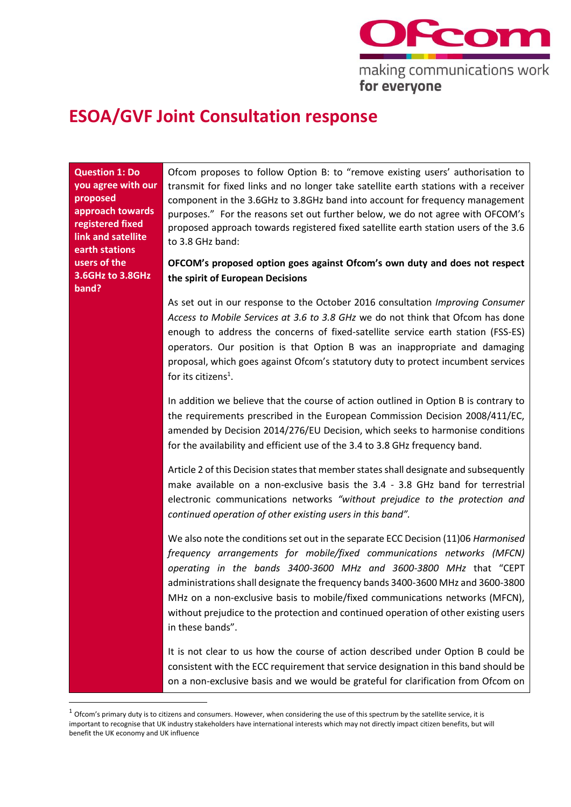

# **ESOA/GVF Joint Consultation response**

**Question 1: Do you agree with our proposed approach towards registered fixed link and satellite earth stations users of the 3.6GHz to 3.8GHz band?**

Ofcom proposes to follow Option B: to "remove existing users' authorisation to transmit for fixed links and no longer take satellite earth stations with a receiver component in the 3.6GHz to 3.8GHz band into account for frequency management purposes." For the reasons set out further below, we do not agree with OFCOM's proposed approach towards registered fixed satellite earth station users of the 3.6 to 3.8 GHz band:

## **OFCOM's proposed option goes against Ofcom's own duty and does not respect the spirit of European Decisions**

As set out in our response to the October 2016 consultation *Improving Consumer Access to Mobile Services at 3.6 to 3.8 GHz* we do not think that Ofcom has done enough to address the concerns of fixed-satellite service earth station (FSS-ES) operators. Our position is that Option B was an inappropriate and damaging proposal, which goes against Ofcom's statutory duty to protect incumbent services for its citizens<sup>1</sup>.

In addition we believe that the course of action outlined in Option B is contrary to the requirements prescribed in the European Commission Decision 2008/411/EC, amended by Decision 2014/276/EU Decision, which seeks to harmonise conditions for the availability and efficient use of the 3.4 to 3.8 GHz frequency band.

Article 2 of this Decision states that member states shall designate and subsequently make available on a non-exclusive basis the 3.4 - 3.8 GHz band for terrestrial electronic communications networks *"without prejudice to the protection and continued operation of other existing users in this band".* 

We also note the conditions set out in the separate ECC Decision (11)06 *Harmonised frequency arrangements for mobile/fixed communications networks (MFCN) operating in the bands 3400-3600 MHz and 3600-3800 MHz* that "CEPT administrations shall designate the frequency bands 3400-3600 MHz and 3600-3800 MHz on a non-exclusive basis to mobile/fixed communications networks (MFCN), without prejudice to the protection and continued operation of other existing users in these bands".

It is not clear to us how the course of action described under Option B could be consistent with the ECC requirement that service designation in this band should be on a non-exclusive basis and we would be grateful for clarification from Ofcom on

 $1$  Ofcom's primary duty is to citizens and consumers. However, when considering the use of this spectrum by the satellite service, it is important to recognise that UK industry stakeholders have international interests which may not directly impact citizen benefits, but will benefit the UK economy and UK influence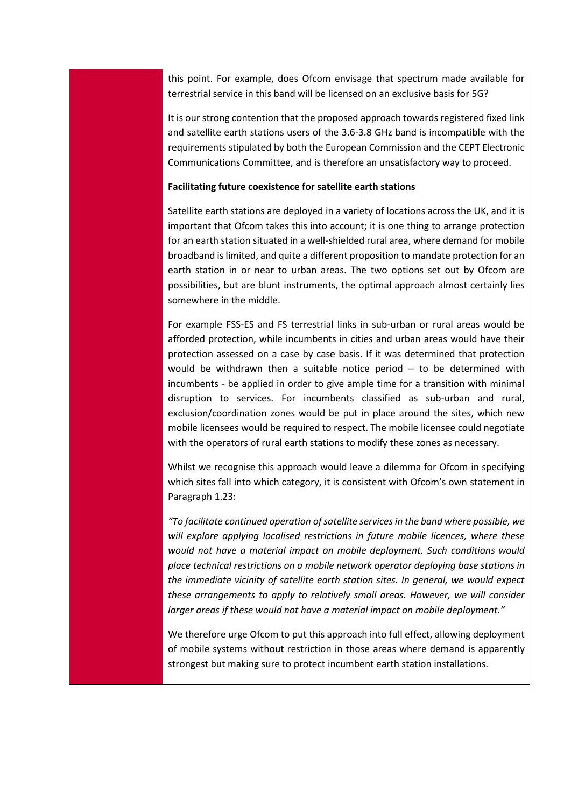this point. For example, does Ofcom envisage that spectrum made available for terrestrial service in this band will be licensed on an exclusive basis for 5G?

It is our strong contention that the proposed approach towards registered fixed link and satellite earth stations users of the 3.6-3.8 GHz band is incompatible with the requirements stipulated by both the European Commission and the CEPT Electronic Communications Committee, and is therefore an unsatisfactory way to proceed.

#### **Facilitating future coexistence for satellite earth stations**

Satellite earth stations are deployed in a variety of locations across the UK, and it is important that Ofcom takes this into account; it is one thing to arrange protection for an earth station situated in a well-shielded rural area, where demand for mobile broadband is limited, and quite a different proposition to mandate protection for an earth station in or near to urban areas. The two options set out by Ofcom are possibilities, but are blunt instruments, the optimal approach almost certainly lies somewhere in the middle.

For example FSS-ES and FS terrestrial links in sub-urban or rural areas would be afforded protection, while incumbents in cities and urban areas would have their protection assessed on a case by case basis. If it was determined that protection would be withdrawn then a suitable notice period – to be determined with incumbents - be applied in order to give ample time for a transition with minimal disruption to services. For incumbents classified as sub-urban and rural, exclusion/coordination zones would be put in place around the sites, which new mobile licensees would be required to respect. The mobile licensee could negotiate with the operators of rural earth stations to modify these zones as necessary.

Whilst we recognise this approach would leave a dilemma for Ofcom in specifying which sites fall into which category, it is consistent with Ofcom's own statement in Paragraph 1.23:

*"To facilitate continued operation of satellite services in the band where possible, we will explore applying localised restrictions in future mobile licences, where these would not have a material impact on mobile deployment. Such conditions would place technical restrictions on a mobile network operator deploying base stations in the immediate vicinity of satellite earth station sites. In general, we would expect these arrangements to apply to relatively small areas. However, we will consider larger areas if these would not have a material impact on mobile deployment."*

We therefore urge Ofcom to put this approach into full effect, allowing deployment of mobile systems without restriction in those areas where demand is apparently strongest but making sure to protect incumbent earth station installations.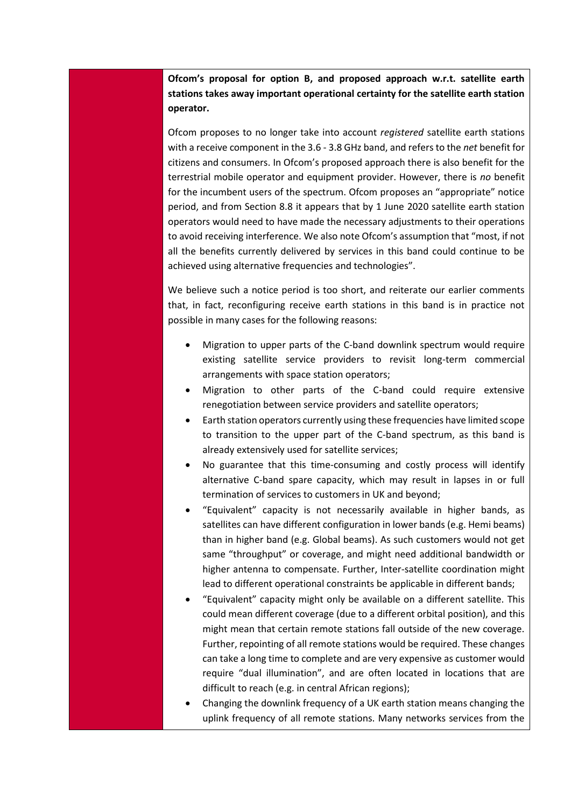**Ofcom's proposal for option B, and proposed approach w.r.t. satellite earth stations takes away important operational certainty for the satellite earth station operator.**

Ofcom proposes to no longer take into account *registered* satellite earth stations with a receive component in the 3.6 - 3.8 GHz band, and refers to the *net* benefit for citizens and consumers. In Ofcom's proposed approach there is also benefit for the terrestrial mobile operator and equipment provider. However, there is *no* benefit for the incumbent users of the spectrum. Ofcom proposes an "appropriate" notice period, and from Section 8.8 it appears that by 1 June 2020 satellite earth station operators would need to have made the necessary adjustments to their operations to avoid receiving interference. We also note Ofcom's assumption that "most, if not all the benefits currently delivered by services in this band could continue to be achieved using alternative frequencies and technologies".

We believe such a notice period is too short, and reiterate our earlier comments that, in fact, reconfiguring receive earth stations in this band is in practice not possible in many cases for the following reasons:

- Migration to upper parts of the C-band downlink spectrum would require existing satellite service providers to revisit long-term commercial arrangements with space station operators;
- Migration to other parts of the C-band could require extensive renegotiation between service providers and satellite operators;
- Earth station operators currently using these frequencies have limited scope to transition to the upper part of the C-band spectrum, as this band is already extensively used for satellite services;
- No guarantee that this time-consuming and costly process will identify alternative C-band spare capacity, which may result in lapses in or full termination of services to customers in UK and beyond;
- "Equivalent" capacity is not necessarily available in higher bands, as satellites can have different configuration in lower bands (e.g. Hemi beams) than in higher band (e.g. Global beams). As such customers would not get same "throughput" or coverage, and might need additional bandwidth or higher antenna to compensate. Further, Inter-satellite coordination might lead to different operational constraints be applicable in different bands;
- "Equivalent" capacity might only be available on a different satellite. This could mean different coverage (due to a different orbital position), and this might mean that certain remote stations fall outside of the new coverage. Further, repointing of all remote stations would be required. These changes can take a long time to complete and are very expensive as customer would require "dual illumination", and are often located in locations that are difficult to reach (e.g. in central African regions);
- Changing the downlink frequency of a UK earth station means changing the uplink frequency of all remote stations. Many networks services from the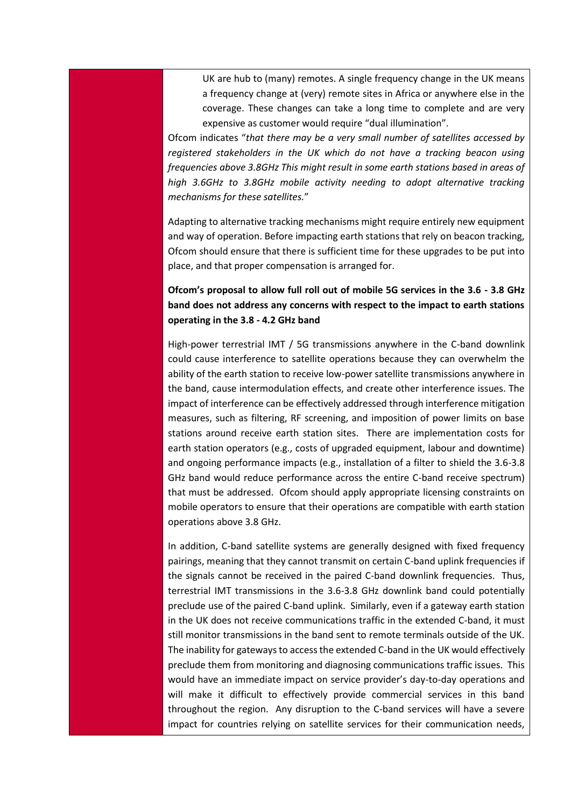UK are hub to (many) remotes. A single frequency change in the UK means a frequency change at (very) remote sites in Africa or anywhere else in the coverage. These changes can take a long time to complete and are very expensive as customer would require "dual illumination".

Ofcom indicates "*that there may be a very small number of satellites accessed by registered stakeholders in the UK which do not have a tracking beacon using frequencies above 3.8GHz This might result in some earth stations based in areas of high 3.6GHz to 3.8GHz mobile activity needing to adopt alternative tracking mechanisms for these satellites.*"

Adapting to alternative tracking mechanisms might require entirely new equipment and way of operation. Before impacting earth stations that rely on beacon tracking, Ofcom should ensure that there is sufficient time for these upgrades to be put into place, and that proper compensation is arranged for.

## **Ofcom's proposal to allow full roll out of mobile 5G services in the 3.6 - 3.8 GHz band does not address any concerns with respect to the impact to earth stations operating in the 3.8 - 4.2 GHz band**

High-power terrestrial IMT / 5G transmissions anywhere in the C-band downlink could cause interference to satellite operations because they can overwhelm the ability of the earth station to receive low-power satellite transmissions anywhere in the band, cause intermodulation effects, and create other interference issues. The impact of interference can be effectively addressed through interference mitigation measures, such as filtering, RF screening, and imposition of power limits on base stations around receive earth station sites. There are implementation costs for earth station operators (e.g., costs of upgraded equipment, labour and downtime) and ongoing performance impacts (e.g., installation of a filter to shield the 3.6-3.8 GHz band would reduce performance across the entire C-band receive spectrum) that must be addressed. Ofcom should apply appropriate licensing constraints on mobile operators to ensure that their operations are compatible with earth station operations above 3.8 GHz.

In addition, C-band satellite systems are generally designed with fixed frequency pairings, meaning that they cannot transmit on certain C-band uplink frequencies if the signals cannot be received in the paired C-band downlink frequencies. Thus, terrestrial IMT transmissions in the 3.6-3.8 GHz downlink band could potentially preclude use of the paired C-band uplink. Similarly, even if a gateway earth station in the UK does not receive communications traffic in the extended C-band, it must still monitor transmissions in the band sent to remote terminals outside of the UK. The inability for gateways to access the extended C-band in the UK would effectively preclude them from monitoring and diagnosing communications traffic issues. This would have an immediate impact on service provider's day-to-day operations and will make it difficult to effectively provide commercial services in this band throughout the region. Any disruption to the C-band services will have a severe impact for countries relying on satellite services for their communication needs,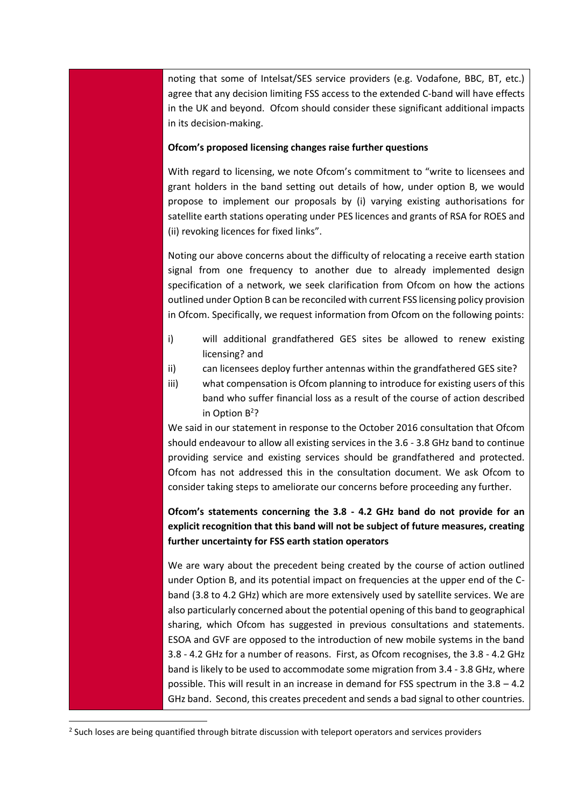noting that some of Intelsat/SES service providers (e.g. Vodafone, BBC, BT, etc.) agree that any decision limiting FSS access to the extended C-band will have effects in the UK and beyond. Ofcom should consider these significant additional impacts in its decision-making.

#### **Ofcom's proposed licensing changes raise further questions**

With regard to licensing, we note Ofcom's commitment to "write to licensees and grant holders in the band setting out details of how, under option B, we would propose to implement our proposals by (i) varying existing authorisations for satellite earth stations operating under PES licences and grants of RSA for ROES and (ii) revoking licences for fixed links".

Noting our above concerns about the difficulty of relocating a receive earth station signal from one frequency to another due to already implemented design specification of a network, we seek clarification from Ofcom on how the actions outlined under Option B can be reconciled with current FSS licensing policy provision in Ofcom. Specifically, we request information from Ofcom on the following points:

- i) will additional grandfathered GES sites be allowed to renew existing licensing? and
- ii) can licensees deploy further antennas within the grandfathered GES site?
- iii) what compensation is Ofcom planning to introduce for existing users of this band who suffer financial loss as a result of the course of action described in Option  $B^2$ ?

We said in our statement in response to the October 2016 consultation that Ofcom should endeavour to allow all existing services in the 3.6 - 3.8 GHz band to continue providing service and existing services should be grandfathered and protected. Ofcom has not addressed this in the consultation document. We ask Ofcom to consider taking steps to ameliorate our concerns before proceeding any further.

**Ofcom's statements concerning the 3.8 - 4.2 GHz band do not provide for an explicit recognition that this band will not be subject of future measures, creating further uncertainty for FSS earth station operators**

We are wary about the precedent being created by the course of action outlined under Option B, and its potential impact on frequencies at the upper end of the Cband (3.8 to 4.2 GHz) which are more extensively used by satellite services. We are also particularly concerned about the potential opening of this band to geographical sharing, which Ofcom has suggested in previous consultations and statements. ESOA and GVF are opposed to the introduction of new mobile systems in the band 3.8 - 4.2 GHz for a number of reasons. First, as Ofcom recognises, the 3.8 - 4.2 GHz band is likely to be used to accommodate some migration from 3.4 - 3.8 GHz, where possible. This will result in an increase in demand for FSS spectrum in the 3.8 – 4.2 GHz band. Second, this creates precedent and sends a bad signal to other countries.

**.** 

<sup>&</sup>lt;sup>2</sup> Such loses are being quantified through bitrate discussion with teleport operators and services providers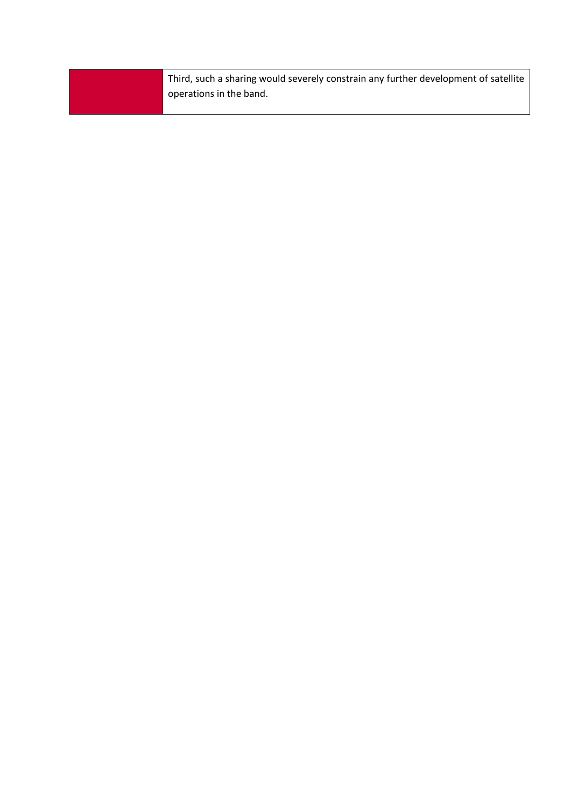Third, such a sharing would severely constrain any further development of satellite operations in the band.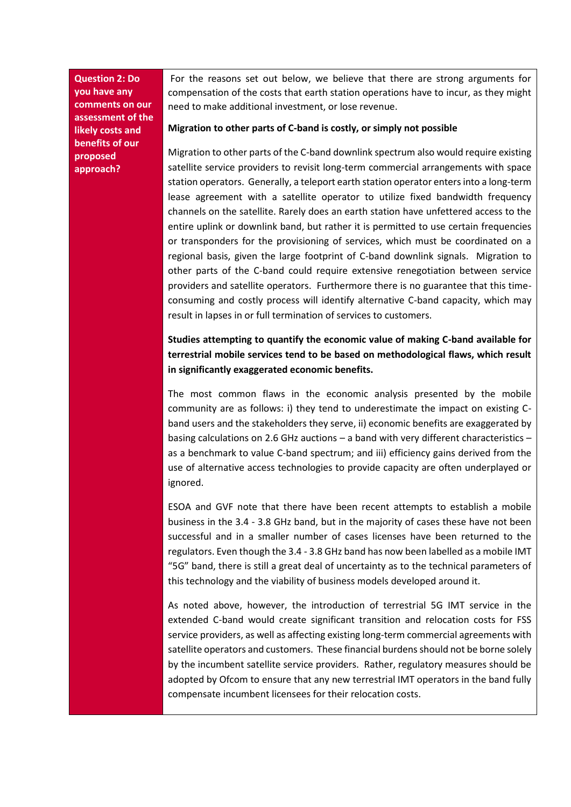**Question 2: Do you have any comments on our assessment of the likely costs and benefits of our proposed approach?**

For the reasons set out below, we believe that there are strong arguments for compensation of the costs that earth station operations have to incur, as they might need to make additional investment, or lose revenue.

#### **Migration to other parts of C-band is costly, or simply not possible**

Migration to other parts of the C-band downlink spectrum also would require existing satellite service providers to revisit long-term commercial arrangements with space station operators. Generally, a teleport earth station operator enters into a long-term lease agreement with a satellite operator to utilize fixed bandwidth frequency channels on the satellite. Rarely does an earth station have unfettered access to the entire uplink or downlink band, but rather it is permitted to use certain frequencies or transponders for the provisioning of services, which must be coordinated on a regional basis, given the large footprint of C-band downlink signals. Migration to other parts of the C-band could require extensive renegotiation between service providers and satellite operators. Furthermore there is no guarantee that this timeconsuming and costly process will identify alternative C-band capacity, which may result in lapses in or full termination of services to customers.

# **Studies attempting to quantify the economic value of making C-band available for terrestrial mobile services tend to be based on methodological flaws, which result in significantly exaggerated economic benefits.**

The most common flaws in the economic analysis presented by the mobile community are as follows: i) they tend to underestimate the impact on existing Cband users and the stakeholders they serve, ii) economic benefits are exaggerated by basing calculations on 2.6 GHz auctions – a band with very different characteristics – as a benchmark to value C-band spectrum; and iii) efficiency gains derived from the use of alternative access technologies to provide capacity are often underplayed or ignored.

ESOA and GVF note that there have been recent attempts to establish a mobile business in the 3.4 - 3.8 GHz band, but in the majority of cases these have not been successful and in a smaller number of cases licenses have been returned to the regulators. Even though the 3.4 - 3.8 GHz band has now been labelled as a mobile IMT "5G" band, there is still a great deal of uncertainty as to the technical parameters of this technology and the viability of business models developed around it.

As noted above, however, the introduction of terrestrial 5G IMT service in the extended C-band would create significant transition and relocation costs for FSS service providers, as well as affecting existing long-term commercial agreements with satellite operators and customers. These financial burdens should not be borne solely by the incumbent satellite service providers. Rather, regulatory measures should be adopted by Ofcom to ensure that any new terrestrial IMT operators in the band fully compensate incumbent licensees for their relocation costs.